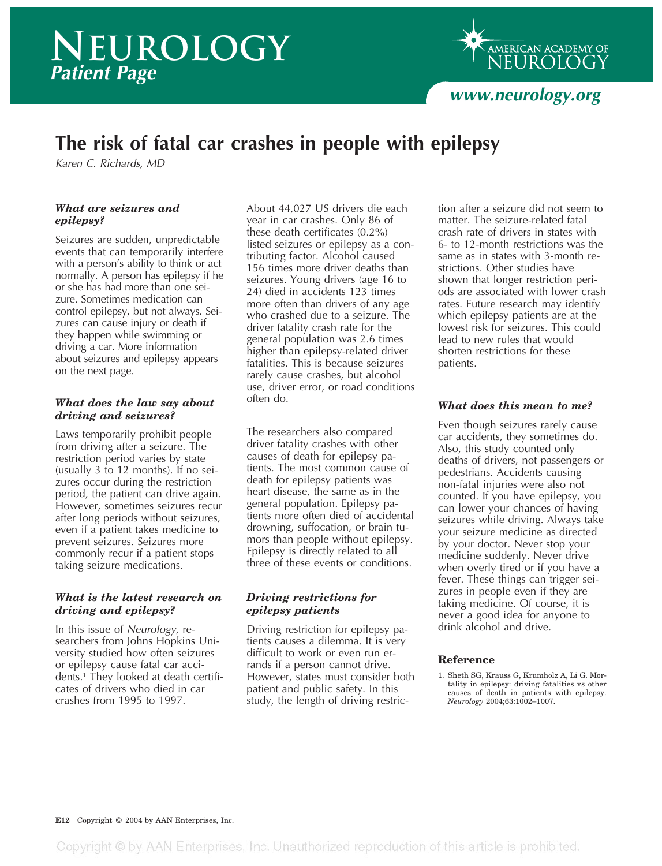# **NEUROLOGY** *Patient Page*



*www.neurology.org*

### **The risk of fatal car crashes in people with epilepsy**

*Karen C. Richards, MD*

#### *What are seizures and epilepsy?*

Seizures are sudden, unpredictable events that can temporarily interfere with a person's ability to think or act normally. A person has epilepsy if he or she has had more than one seizure. Sometimes medication can control epilepsy, but not always. Seizures can cause injury or death if they happen while swimming or driving a car. More information about seizures and epilepsy appears on the next page.

#### *What does the law say about driving and seizures?*

Laws temporarily prohibit people from driving after a seizure. The restriction period varies by state (usually 3 to 12 months). If no seizures occur during the restriction period, the patient can drive again. However, sometimes seizures recur after long periods without seizures, even if a patient takes medicine to prevent seizures. Seizures more commonly recur if a patient stops taking seizure medications.

#### *What is the latest research on driving and epilepsy?*

In this issue of *Neurology*, researchers from Johns Hopkins University studied how often seizures or epilepsy cause fatal car accidents.<sup>1</sup> They looked at death certificates of drivers who died in car crashes from 1995 to 1997.

About 44,027 US drivers die each year in car crashes. Only 86 of these death certificates (0.2%) listed seizures or epilepsy as a contributing factor. Alcohol caused 156 times more driver deaths than seizures. Young drivers (age 16 to 24) died in accidents 123 times more often than drivers of any age who crashed due to a seizure. The driver fatality crash rate for the general population was 2.6 times higher than epilepsy-related driver fatalities. This is because seizures rarely cause crashes, but alcohol use, driver error, or road conditions often do.

The researchers also compared driver fatality crashes with other causes of death for epilepsy patients. The most common cause of death for epilepsy patients was heart disease, the same as in the general population. Epilepsy patients more often died of accidental drowning, suffocation, or brain tumors than people without epilepsy. Epilepsy is directly related to all three of these events or conditions.

#### *Driving restrictions for epilepsy patients*

Driving restriction for epilepsy patients causes a dilemma. It is very difficult to work or even run errands if a person cannot drive. However, states must consider both patient and public safety. In this study, the length of driving restriction after a seizure did not seem to matter. The seizure-related fatal crash rate of drivers in states with 6- to 12-month restrictions was the same as in states with 3-month restrictions. Other studies have shown that longer restriction periods are associated with lower crash rates. Future research may identify which epilepsy patients are at the lowest risk for seizures. This could lead to new rules that would shorten restrictions for these patients.

#### *What does this mean to me?*

Even though seizures rarely cause car accidents, they sometimes do. Also, this study counted only deaths of drivers, not passengers or pedestrians. Accidents causing non-fatal injuries were also not counted. If you have epilepsy, you can lower your chances of having seizures while driving. Always take your seizure medicine as directed by your doctor. Never stop your medicine suddenly. Never drive when overly tired or if you have a fever. These things can trigger seizures in people even if they are taking medicine. Of course, it is never a good idea for anyone to drink alcohol and drive.

#### **Reference**

1. Sheth SG, Krauss G, Krumholz A, Li G. Mortality in epilepsy: driving fatalities vs other causes of death in patients with epilepsy. *Neurology* 2004;63:1002–1007.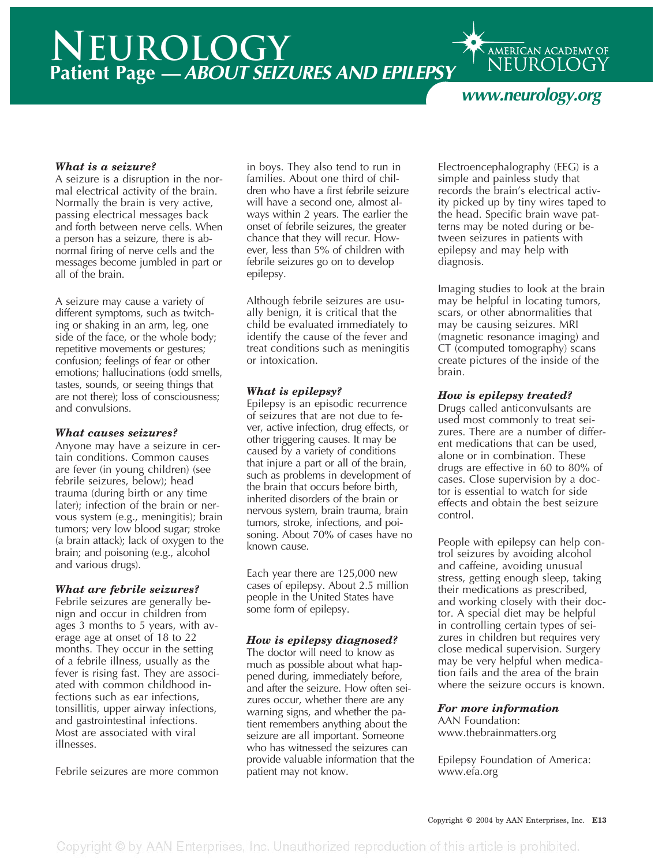# **NEUROLOGY Patient Page —***ABOUT SEIZURES AND EPILEPSY*



### *www.neurology.org*

#### *What is a seizure?*

A seizure is a disruption in the normal electrical activity of the brain. Normally the brain is very active, passing electrical messages back and forth between nerve cells. When a person has a seizure, there is abnormal firing of nerve cells and the messages become jumbled in part or all of the brain.

A seizure may cause a variety of different symptoms, such as twitching or shaking in an arm, leg, one side of the face, or the whole body; repetitive movements or gestures; confusion; feelings of fear or other emotions; hallucinations (odd smells, tastes, sounds, or seeing things that are not there); loss of consciousness; and convulsions.

#### *What causes seizures?*

Anyone may have a seizure in certain conditions. Common causes are fever (in young children) (see febrile seizures, below); head trauma (during birth or any time later); infection of the brain or nervous system (e.g., meningitis); brain tumors; very low blood sugar; stroke (a brain attack); lack of oxygen to the brain; and poisoning (e.g., alcohol and various drugs).

#### *What are febrile seizures?*

Febrile seizures are generally benign and occur in children from ages 3 months to 5 years, with average age at onset of 18 to 22 months. They occur in the setting of a febrile illness, usually as the fever is rising fast. They are associated with common childhood infections such as ear infections, tonsillitis, upper airway infections, and gastrointestinal infections. Most are associated with viral illnesses.

Febrile seizures are more common

in boys. They also tend to run in families. About one third of children who have a first febrile seizure will have a second one, almost always within 2 years. The earlier the onset of febrile seizures, the greater chance that they will recur. However, less than 5% of children with febrile seizures go on to develop epilepsy.

Although febrile seizures are usually benign, it is critical that the child be evaluated immediately to identify the cause of the fever and treat conditions such as meningitis or intoxication.

#### *What is epilepsy?*

Epilepsy is an episodic recurrence of seizures that are not due to fever, active infection, drug effects, or other triggering causes. It may be caused by a variety of conditions that injure a part or all of the brain, such as problems in development of the brain that occurs before birth, inherited disorders of the brain or nervous system, brain trauma, brain tumors, stroke, infections, and poisoning. About 70% of cases have no known cause.

Each year there are 125,000 new cases of epilepsy. About 2.5 million people in the United States have some form of epilepsy.

#### *How is epilepsy diagnosed?*

The doctor will need to know as much as possible about what happened during, immediately before, and after the seizure. How often seizures occur, whether there are any warning signs, and whether the patient remembers anything about the seizure are all important. Someone who has witnessed the seizures can provide valuable information that the patient may not know.

Electroencephalography (EEG) is a simple and painless study that records the brain's electrical activity picked up by tiny wires taped to the head. Specific brain wave patterns may be noted during or between seizures in patients with epilepsy and may help with diagnosis.

Imaging studies to look at the brain may be helpful in locating tumors, scars, or other abnormalities that may be causing seizures. MRI (magnetic resonance imaging) and CT (computed tomography) scans create pictures of the inside of the brain.

#### *How is epilepsy treated?*

Drugs called anticonvulsants are used most commonly to treat seizures. There are a number of different medications that can be used, alone or in combination. These drugs are effective in 60 to 80% of cases. Close supervision by a doctor is essential to watch for side effects and obtain the best seizure control.

People with epilepsy can help control seizures by avoiding alcohol and caffeine, avoiding unusual stress, getting enough sleep, taking their medications as prescribed, and working closely with their doctor. A special diet may be helpful in controlling certain types of seizures in children but requires very close medical supervision. Surgery may be very helpful when medication fails and the area of the brain where the seizure occurs is known.

#### *For more information*

AAN Foundation: www.thebrainmatters.org

Epilepsy Foundation of America: www.efa.org